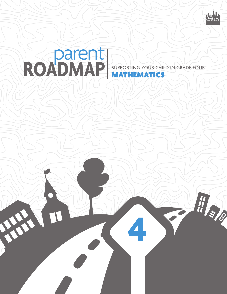

用度

# ROADMAP SUPPORTING YOUR CHIL SUPPORTING YOUR CHILD IN GRADE FOUR

**4**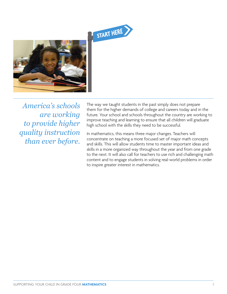



*America's schools are working to provide higher quality instruction than ever before.*

The way we taught students in the past simply does not prepare them for the higher demands of college and careers today and in the future. Your school and schools throughout the country are working to improve teaching and learning to ensure that all children will graduate high school with the skills they need to be successful.

In mathematics, this means three major changes. Teachers will concentrate on teaching a more focused set of major math concepts and skills. This will allow students time to master important ideas and skills in a more organized way throughout the year and from one grade to the next. It will also call for teachers to use rich and challenging math content and to engage students in solving real-world problems in order to inspire greater interest in mathematics.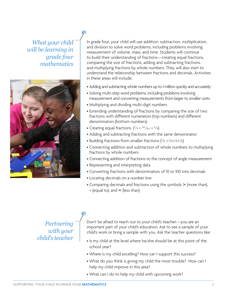*What your child will be learning in grade four mathematics*



In grade four, your child will use addition, subtraction, multiplication, and division to solve word problems, including problems involving measurement of volume, mass, and time. Students will continue to build their understanding of fractions—creating equal fractions, comparing the size of fractions, adding and subtracting fractions, and multiplying fractions by whole numbers. They will also start to understand the relationship between fractions and decimals. Activities in these areas will include:

- Adding and subtracting whole numbers up to 1 million quickly and accurately
- Solving multi-step word problems, including problems involving measurement and converting measurements from larger to smaller units
- Multiplying and dividing multi-digit numbers
- Extending understanding of fractions by comparing the size of two fractions with different numerators (top numbers) and different denominators (bottom numbers)
- Creating equal fractions  $(3/4 = 3x^2/4x^2 = 6/8)$
- Adding and subtracting fractions with the same denominator
- $\bullet$  Building fractions from smaller fractions (½ = ½+½+)⁄8)
- Connecting addition and subtraction of whole numbers to multiplying fractions by whole numbers
- Connecting addition of fractions to the concept of angle measurement
- Representing and interpreting data
- Converting fractions with denominators of 10 or 100 into decimals
- Locating decimals on a number line
- Comparing decimals and fractions using the symbols > (more than),  $=$  (equal to), and  $\le$  (less than)

*Partnering with your child's teacher* Don't be afraid to reach out to your child's teacher—you are an important part of your child's education. Ask to see a sample of your child's work or bring a sample with you. Ask the teacher questions like:

- Is my child at the level where he/she should be at this point of the school year?
- Where is my child excelling? How can I support this success?
- What do you think is giving my child the most trouble? How can I help my child improve in this area?
- What can I do to help my child with upcoming work?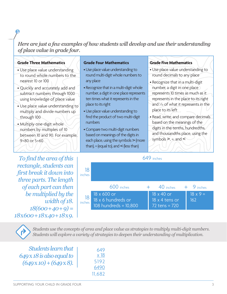*Here are just a few examples of how students will develop and use their understanding of place value in grade four.*

|  | <b>Grade Three Mathematics</b> |  |  |  |
|--|--------------------------------|--|--|--|
|--|--------------------------------|--|--|--|

- Use place value understanding to round whole numbers to the nearest 10 or 100
- Quickly and accurately add and subtract numbers through 1000 using knowledge of place value
- Use place value understanding to multiply and divide numbers up through 100
- Multiply one-digit whole numbers by multiples of 10 between 10 and 90. For example, 9×80 or 5×60

*To find the area of this rectangle, students can first break it down into three parts. The length of each part can then be multiplied by the width of 18. 18(600+40+9) = 18*x*600+18*x*40+18*x*9.*

#### **Grade Four Mathematics**

- Use place value understanding to round multi-digit whole numbers to any place
- Recognize that in a multi-digit whole number, a digit in one place represents ten times what it represents in the place to its right
- Use place value understanding to find the product of two multi-digit numbers
- Compare two multi-digit numbers based on meanings of the digits in each place, using the symbols  $>$  (more than), = (equal to), and  $\lt$  (less than)

#### **Grade Five Mathematics**

- Use place value understanding to round decimals to any place
- Recognize that in a multi-digit number, a digit in one place represents 10 times as much as it represents in the place to its right and  $\frac{1}{10}$  of what it represents in the place to its left
- Read, write, and compare decimals based on the meanings of the digits in the tenths, hundredths, and thousandths place, using the symbols  $\geq$ ,  $\equiv$ , and  $\leq$

|                         |                                                            | $649$ inches                                      |                        |
|-------------------------|------------------------------------------------------------|---------------------------------------------------|------------------------|
| 18<br>inches            |                                                            |                                                   |                        |
|                         | 600 inches                                                 | $40$ inches $+$ 9 inches                          |                        |
| <sup>18</sup><br>inches | 18 x 600 or<br>18 x 6 hundreds or<br>108 hundreds = 10,800 | 18 x 40 or<br>18 x 4 tens or<br>$72$ tens = $720$ | $18 \times 9 =$<br>162 |

*Students use the concepts of area and place value as strategies to multiply multi-digit numbers. Students will explore a variety of strategies to deepen their understanding of multiplication.*

*Students learn that 649* x *18 is also equal to (649* x *10) + (649* x *8).*

| 649<br>x 18 |  |
|-------------|--|
| 5192        |  |
| 6490        |  |
| 11,682      |  |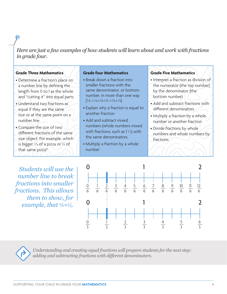*Here are just a few examples of how students will learn about and work with fractions in grade four.*

#### **Grade Three Mathematics**

- Determine a fraction's place on a number line by defining the length from 0 to 1 as the whole and "cutting it" into equal parts
- Understand two fractions as equal if they are the same size or at the same point on a number line
- Compare the size of two different fractions of the same size object. For example, which is bigger,  $\frac{1}{8}$  of a pizza or  $\frac{1}{6}$  of that same pizza?

#### **Grade four Mathematics**

- Break down a fraction into smaller fractions with the same denominator, or bottom number, in more than one way  $(3/8 = 1/8 + 1/8 + 1/8 = 2/8 + 1/8)$
- Explain why a fraction is equal to another fraction
- Add and subtract mixed numbers (whole numbers mixed with fractions, such as  $1\frac{1}{5}$  with the same denominators
- Multiply a fraction by a whole number

#### **Grade Five Mathematics**

- Interpret a fraction as division of the numerator (the top number) by the denominator (the
- bottom number)
- Add and subtract fractions with different denominators
- Multiply a fraction by a whole number or another fraction
- Divide fractions by whole numbers and whole numbers by fractions

*Students will use the number line to break fractions into smaller fractions. This allows them to show, for example, that 2 ⁄6=1 ⁄3.*





*Understanding and creating equal fractions will prepare students for the next step: adding and subtracting fractions with different denominators.*